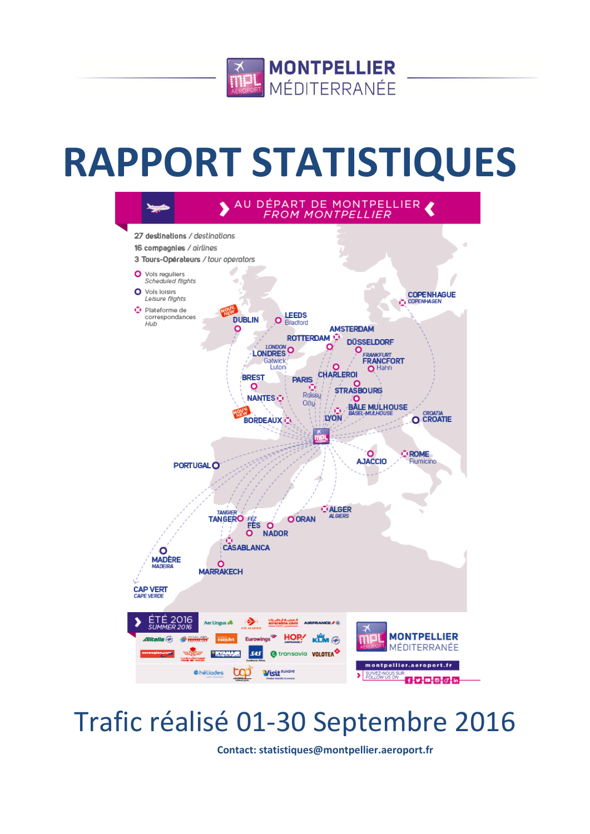

# **RAPPORT STATISTIQUES**



## Trafic réalisé 01-30 Septembre 2016

**Contact: statistiques@montpellier.aeroport.fr**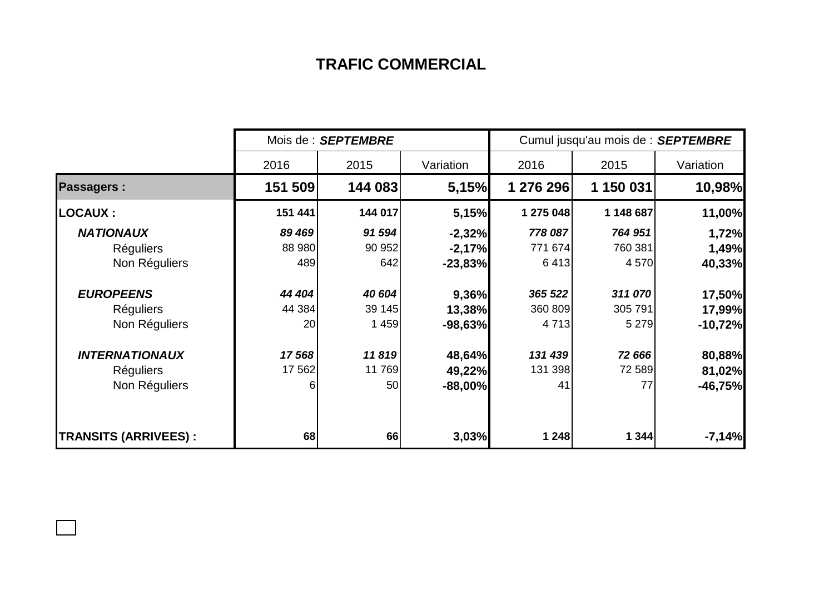## **TRAFIC COMMERCIAL**

|                             |         | Mois de : SEPTEMBRE |           | Cumul jusqu'au mois de : SEPTEMBRE |           |           |  |
|-----------------------------|---------|---------------------|-----------|------------------------------------|-----------|-----------|--|
|                             | 2016    | 2015                | Variation | 2016                               | 2015      | Variation |  |
| <b>Passagers:</b>           | 151 509 | 144 083             | 5,15%     | 1 276 296                          | 1 150 031 | 10,98%    |  |
| <b>LOCAUX :</b>             | 151 441 | 144 017             | 5,15%     | 1 275 048                          | 1 148 687 | 11,00%    |  |
| <b>NATIONAUX</b>            | 89 469  | 91 594              | $-2,32%$  | 778 087                            | 764 951   | 1,72%     |  |
| <b>Réguliers</b>            | 88 980  | 90 952              | $-2,17%$  | 771 674                            | 760 381   | 1,49%     |  |
| Non Réguliers               | 489     | 642                 | $-23,83%$ | 6413                               | 4570      | 40,33%    |  |
| <b>EUROPEENS</b>            | 44 404  | 40 604              | 9,36%     | 365 522                            | 311 070   | 17,50%    |  |
| Réguliers                   | 44 384  | 39 145              | 13,38%    | 360 809                            | 305 791   | 17,99%    |  |
| Non Réguliers               | 20      | 1 459               | $-98,63%$ | 4 7 1 3                            | 5 2 7 9   | $-10,72%$ |  |
| <b>INTERNATIONAUX</b>       | 17568   | 11819               | 48,64%    | 131 439                            | 72 666    | 80,88%    |  |
| <b>Réguliers</b>            | 17 562  | 11 769              | 49,22%    | 131 398                            | 72 589    | 81,02%    |  |
| Non Réguliers               | 6       | 50                  | $-88,00%$ | 41                                 | 77        | $-46,75%$ |  |
|                             |         |                     |           |                                    |           |           |  |
| <b>TRANSITS (ARRIVEES):</b> | 68      | 66                  | 3,03%     | 1 248                              | 1 344     | $-7,14%$  |  |

 $\Box$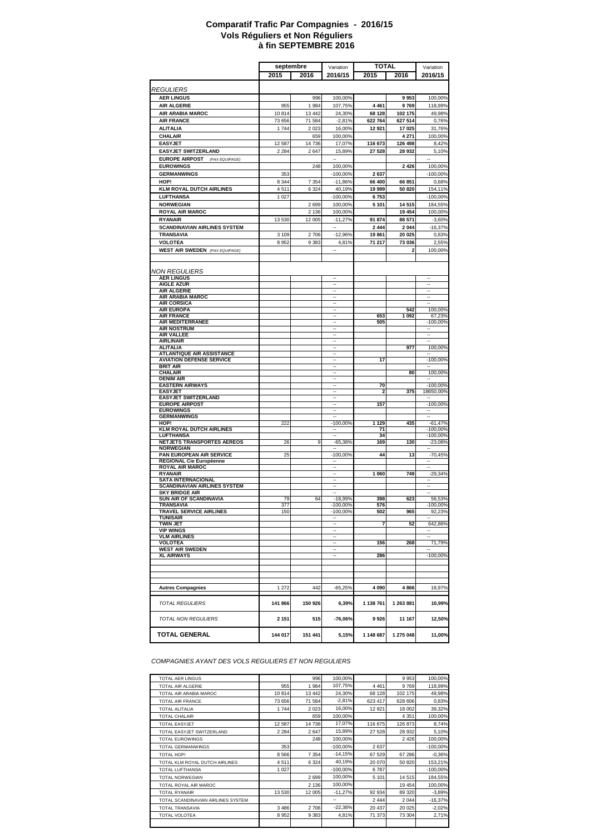#### **à fin SEPTEMBRE 2016 Comparatif Trafic Par Compagnies - 2016/15 Vols Réguliers et Non Réguliers**

|                                                                     | septembre       |                    | <b>TOTAL</b><br>Variation                            |                   |                    | Variation                                            |
|---------------------------------------------------------------------|-----------------|--------------------|------------------------------------------------------|-------------------|--------------------|------------------------------------------------------|
|                                                                     | 2015            | 2016               | 2016/15                                              | 2015              | 2016               | 2016/15                                              |
|                                                                     |                 |                    |                                                      |                   |                    |                                                      |
| <b>REGULIERS</b>                                                    |                 |                    |                                                      |                   |                    |                                                      |
| <b>AER LINGUS</b>                                                   |                 | 996                | 100,00%                                              |                   | 9953               | 100,00%                                              |
| <b>AIR ALGERIE</b>                                                  | 955             | 1984               | 107,75%                                              | 4 4 6 1           | 9769               | 118,99%                                              |
| AIR ARABIA MAROC<br><b>AIR FRANCE</b>                               | 10814<br>73 656 | 13 442<br>71 584   | 24,30%<br>$-2,81%$                                   | 68 128<br>622 764 | 102 175<br>627 514 | 49,98%<br>0,76%                                      |
| <b>ALITALIA</b>                                                     | 1744            | 2 0 2 3            | 16,00%                                               | 12 921            | 17 025             | 31,76%                                               |
| CHALAIR                                                             |                 | 659                | 100,00%                                              |                   | 4 2 7 1            | 100,00%                                              |
| <b>EASYJET</b>                                                      | 12 5 8 7        | 14 736             | 17,07%                                               | 116 673           | 126 498            | 8,42%                                                |
| <b>EASYJET SWITZERLAND</b>                                          | 2 2 8 4         | 2 6 4 7            | 15,89%                                               | 27 528            | 28 932             | 5,10%                                                |
| <b>EUROPE AIRPOST</b><br>(PAX EQUIPAGE)                             |                 |                    | $\overline{\phantom{a}}$                             |                   |                    | $\ddot{\phantom{1}}$                                 |
| <b>EUROWINGS</b>                                                    |                 | 248                | 100,00%                                              |                   | 2 4 2 6            | 100,00%                                              |
| <b>GERMANWINGS</b>                                                  | 353             |                    | $-100,00%$                                           | 2637              |                    | $-100,00%$                                           |
| HOP!                                                                | 8 3 4 4         | 7 3 5 4            | $-11,86%$                                            | 66 400            | 66 851             | 0,68%                                                |
| <b>KLM ROYAL DUTCH AIRLINES</b>                                     | 4511            | 6 3 2 4            | 40,19%                                               | 19 999            | 50 820             | 154,11%                                              |
| <b>LUFTHANSA</b><br><b>NORWEGIAN</b>                                | 1027            |                    | $-100,00%$                                           | 6753<br>5 1 0 1   |                    | $-100,00%$                                           |
| <b>ROYAL AIR MAROC</b>                                              |                 | 2 6 9 9<br>2 1 3 6 | 100,00%<br>100,00%                                   |                   | 14 515<br>19 4 54  | 184,55%<br>100,00%                                   |
| <b>RYANAIR</b>                                                      | 13 530          | 12 005             | $-11,27%$                                            | 91 874            | 88 571             | $-3,60%$                                             |
| <b>SCANDINAVIAN AIRLINES SYSTEM</b>                                 |                 |                    | $\overline{\phantom{a}}$                             | 2 4 4 4           | 2 0 4 4            | $-16,37%$                                            |
| TRANSAVIA                                                           | 3 1 0 9         | 2706               | $-12,96%$                                            | 19861             | 20 025             | 0,83%                                                |
| <b>VOLOTEA</b>                                                      | 8952            | 9 3 8 3            | 4,81%                                                | 71 217            | 73 036             | 2,55%                                                |
| <b>WEST AIR SWEDEN</b> (PAX EQUIPAGE)                               |                 |                    |                                                      |                   | $\overline{2}$     | 100,00%                                              |
|                                                                     |                 |                    |                                                      |                   |                    |                                                      |
|                                                                     |                 |                    |                                                      |                   |                    |                                                      |
| NON REGULIERS                                                       |                 |                    | $\ddotsc$                                            |                   |                    | $\ddotsc$                                            |
| <b>AER LINGUS</b><br><b>AIGLE AZUR</b>                              |                 |                    | $\ddot{\phantom{a}}$                                 |                   |                    | $\ddot{\phantom{a}}$                                 |
| <b>AIR ALGERIE</b>                                                  |                 |                    | $\ddot{\phantom{a}}$                                 |                   |                    | $\overline{\phantom{a}}$                             |
| AIR ARABIA MAROC                                                    |                 |                    | $\overline{\phantom{a}}$<br>$\overline{a}$           |                   |                    | $\overline{\phantom{a}}$                             |
| <b>AIR CORSICA</b><br><b>AIR EUROPA</b>                             |                 |                    |                                                      |                   | 542                | 100,00%                                              |
| <b>AIR FRANCE</b>                                                   |                 |                    |                                                      | 653               | 1 0 9 2            | 67,23%                                               |
| AIR MEDITERRANEE                                                    |                 |                    | $\overline{\phantom{a}}$                             | 505               |                    | $-100,00%$                                           |
| <b>AIR NOSTRUM</b><br><b>AIR VALLEE</b>                             |                 |                    | $\overline{\phantom{a}}$<br>$\overline{\phantom{a}}$ |                   |                    | $\overline{\phantom{a}}$<br>$\overline{\phantom{a}}$ |
| <b>AIRLINAIR</b>                                                    |                 |                    | $\ddot{\phantom{a}}$                                 |                   |                    | $\ddot{\phantom{a}}$                                 |
| <b>ALITALIA</b>                                                     |                 |                    | $\ddot{\phantom{a}}$                                 |                   | 977                | 100,00%                                              |
| <b>ATLANTIQUE AIR ASSISTANCE</b><br><b>AVIATION DEFENSE SERVICE</b> |                 |                    | $\overline{\phantom{a}}$<br>$\overline{\phantom{a}}$ | 17                |                    | $-100,00%$                                           |
| <b>BRIT AIR</b>                                                     |                 |                    |                                                      |                   |                    |                                                      |
| <b>CHALAIR</b>                                                      |                 |                    | $\overline{\phantom{a}}$                             |                   | 80                 | 100,00%                                              |
| <b>DENIM AIR</b><br><b>EASTERN AIRWAYS</b>                          |                 |                    | $\overline{\phantom{a}}$<br>$\overline{\phantom{a}}$ | 70                |                    | $\overline{\phantom{a}}$<br>$-100,00%$               |
| <b>EASYJET</b>                                                      |                 |                    |                                                      | 2                 | 375                | 18650,00%                                            |
| <b>EASYJET SWITZERLAND</b>                                          |                 |                    | $\ddot{\phantom{a}}$                                 |                   |                    |                                                      |
| <b>EUROPE AIRPOST</b>                                               |                 |                    | $\overline{\phantom{a}}$<br>$\sim$                   | 157               |                    | $-100,00%$                                           |
| <b>EUROWINGS</b><br><b>GERMANWINGS</b>                              |                 |                    |                                                      |                   |                    |                                                      |
| HOP!                                                                | 222             |                    | $-100,00%$                                           | 1 1 2 9           | 435                | $-61,47%$                                            |
| <b>KLM ROYAL DUTCH AIRLINES</b>                                     |                 |                    | $\overline{\phantom{a}}$                             | 71                |                    | $-100,00%$                                           |
| LUFTHANSA<br>NETJETS TRANSPORTES AEREOS                             | 26              | 9                  | $\sim$<br>$-65,38%$                                  | 34<br>169         | 130                | $-100,00%$<br>$-23,08%$                              |
| <b>NORWEGIAN</b>                                                    |                 |                    |                                                      |                   |                    |                                                      |
| PAN EUROPEAN AIR SERVICE                                            | 25              |                    | $-100,00%$                                           | 44                | 13                 | $-70,45%$                                            |
| REGIONAL Cie Européenne<br><b>ROYAL AIR MAROC</b>                   |                 |                    | $\overline{\phantom{a}}$                             |                   |                    |                                                      |
| <b>RYANAIR</b>                                                      |                 |                    |                                                      | 1 0 6 0           | 749                | $-29,34%$                                            |
| <b>SATA INTERNACIONAL</b>                                           |                 |                    | $\overline{\phantom{a}}$                             |                   |                    | $\overline{\phantom{a}}$                             |
| <b>SCANDINAVIAN AIRLINES SYSTEM</b><br><b>SKY BRIDGE AIR</b>        |                 |                    | $\overline{\phantom{a}}$                             |                   |                    | $\overline{\phantom{a}}$                             |
| <b>SUN AIR OF SCANDINAVIA</b>                                       | 79              | 64                 | $-18,99%$                                            | 398               | 623                | 56,53%                                               |
| TRANSAVIA                                                           | 377             |                    | .100,00%                                             | 576               |                    | 100,00%                                              |
| <b>TRAVEL SERVICE AIRLINES</b>                                      | 150             |                    | $-100,00%$                                           | 502               | 965                | 92,23%                                               |
| <b>TUNISAIR</b><br><b>TWIN JET</b>                                  |                 |                    |                                                      | 7                 | 52                 | 642,86%                                              |
| <b>VIP WINGS</b>                                                    |                 |                    | $\overline{\phantom{a}}$                             |                   |                    |                                                      |
| <b>VLM AIRLINES</b>                                                 |                 |                    | $\overline{\phantom{a}}$                             |                   |                    |                                                      |
| <b>VOLOTEA</b><br><b>WEST AIR SWEDEN</b>                            |                 |                    | $\overline{\phantom{a}}$<br>                         | 156               | 268                | 71,79%                                               |
| <b>XL AIRWAYS</b>                                                   |                 |                    | Ξ.                                                   | 286               |                    | -100,00%                                             |
|                                                                     |                 |                    |                                                      |                   |                    |                                                      |
|                                                                     |                 |                    |                                                      |                   |                    |                                                      |
|                                                                     |                 |                    |                                                      |                   |                    |                                                      |
| <b>Autres Compagnies</b>                                            | 1 2 7 2         | 442                | $-65.25%$                                            | 4 0 9 0           | 4866               | 18,97%                                               |
|                                                                     |                 |                    |                                                      |                   |                    |                                                      |
| <b>TOTAL REGULIERS</b>                                              | 141 866         | 150 926            | 6,39%                                                | 1 138 761         | 1 263 881          | 10,99%                                               |
|                                                                     |                 |                    |                                                      |                   |                    |                                                      |
| <b>TOTAL NON REGULIERS</b>                                          | 2 1 5 1         | 515                | $-76,06%$                                            | 9926              | 11 167             | 12,50%                                               |
|                                                                     |                 |                    |                                                      |                   |                    |                                                      |
| <b>TOTAL GENERAL</b>                                                | 144 017         | 151 441            | 5,15%                                                | 1 148 687         | 1 275 048          | 11,00%                                               |

*COMPAGNIES AYANT DES VOLS REGULIERS ET NON REGULIERS*

| <b>TOTAL AER LINGUS</b>            |          | 996     | 100,00%    |         | 9953    | 100,00%    |
|------------------------------------|----------|---------|------------|---------|---------|------------|
| TOTAL AIR ALGERIE                  | 955      | 1984    | 107,75%    | 4 4 6 1 | 9769    | 118,99%    |
| TOTAL AIR ARABIA MAROC             | 10814    | 13 4 42 | 24,30%     | 68 128  | 102 175 | 49,98%     |
| <b>TOTAL AIR FRANCE</b>            | 73 656   | 71 584  | $-2,81%$   | 623 417 | 628 606 | 0,83%      |
| <b>TOTAL ALITALIA</b>              | 1744     | 2 0 2 3 | 16,00%     | 12 9 21 | 18 002  | 39,32%     |
| <b>TOTAL CHALAIR</b>               |          | 659     | 100.00%    |         | 4 3 5 1 | 100,00%    |
| <b>TOTAL EASYJET</b>               | 12 5 8 7 | 14 736  | 17,07%     | 116 675 | 126 873 | 8,74%      |
| TOTAL EASYJET SWITZERLAND          | 2 2 8 4  | 2 6 4 7 | 15,89%     | 27 528  | 28 9 32 | 5,10%      |
| <b>TOTAL EUROWINGS</b>             |          | 248     | 100,00%    |         | 2 4 2 6 | 100,00%    |
| <b>TOTAL GERMANWINGS</b>           | 353      |         | $-100,00%$ | 2637    |         | $-100,00%$ |
| TOTAL HOP!                         | 8566     | 7 3 5 4 | $-14,15%$  | 67 529  | 67 286  | $-0.36%$   |
| TOTAL KLM ROYAL DUTCH AIRLINES     | 4511     | 6 3 2 4 | 40,19%     | 20 070  | 50 820  | 153,21%    |
| TOTAL LUFTHANSA                    | 1027     |         | $-100,00%$ | 6787    |         | $-100,00%$ |
| <b>TOTAL NORWEGIAN</b>             |          | 2699    | 100,00%    | 5 1 0 1 | 14 5 15 | 184,55%    |
| TOTAL ROYAL AIR MAROC              |          | 2 1 3 6 | 100,00%    |         | 19 4 54 | 100.00%    |
| <b>TOTAL RYANAIR</b>               | 13 530   | 12 005  | $-11,27%$  | 92 934  | 89 320  | $-3,89%$   |
| TOTAL SCANDINAVIAN AIRLINES SYSTEM |          |         | --         | 2 4 4 4 | 2 0 4 4 | $-16,37%$  |
| <b>TOTAL TRANSAVIA</b>             | 3 4 8 6  | 2706    | $-22,38%$  | 20 437  | 20 0 25 | $-2,02%$   |
| <b>TOTAL VOLOTEA</b>               | 8952     | 9 3 8 3 | 4,81%      | 71 373  | 73 304  | 2,71%      |
|                                    |          |         |            |         |         |            |
|                                    |          |         |            |         |         |            |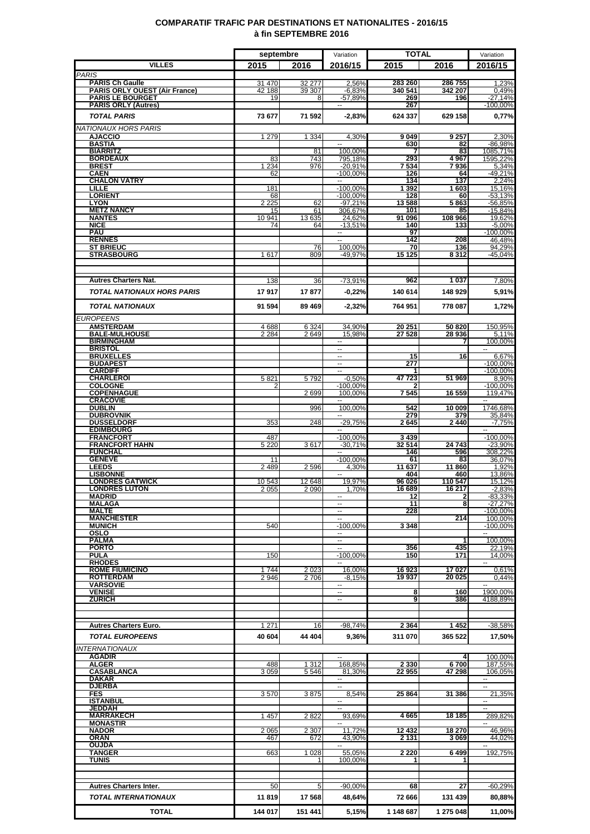### **COMPARATIF TRAFIC PAR DESTINATIONS ET NATIONALITES - 2016/15 à fin SEPTEMBRE 2016**

|                                                                | septembre        |                    | Variation                |                    | <b>TOTAL</b>      |                                      |
|----------------------------------------------------------------|------------------|--------------------|--------------------------|--------------------|-------------------|--------------------------------------|
| <b>VILLES</b>                                                  | 2015             | 2016               | 2016/15                  | 2015               | 2016              | 2016/15                              |
| <b>PARIS</b>                                                   |                  |                    |                          |                    |                   |                                      |
| <b>PARIS Ch Gaulle</b><br><b>PARIS ORLY OUEST (Air France)</b> | 31 470<br>42 188 | 32 277<br>39 307   | 2,56%<br>$-6,83%$        | 283 260<br>340 541 | 286755<br>342 207 | 1,23%<br>0,49%                       |
| <b>PARIS LE BOURGET</b>                                        | 19               | 8                  | $-57,89%$                | 269                | 196               | $-27.14%$                            |
| <b>PARIS ORLY (Autres)</b>                                     |                  |                    |                          | 267                |                   | $-100,00%$                           |
| <b>TOTAL PARIS</b>                                             | 73 677           | 71 592             | $-2,83%$                 | 624 337            | 629 158           | 0,77%                                |
| <b>NATIONAUX HORS PARIS</b>                                    |                  |                    |                          |                    |                   |                                      |
| <b>AJACCIO</b><br><b>BASTIA</b>                                | 1 2 7 9          | 1 3 3 4            | 4,30%                    | 9049<br>630        | 9 257<br>82       | 2,30%<br>$-86,98%$                   |
| <b>BIARRITZ</b>                                                |                  | 81                 | 100,00%                  |                    | 83                | 1085,71%                             |
| <b>BORDEAUX</b><br><b>BREST</b>                                | 83<br>1 2 3 4    | 743<br>976         | 795,18%<br>$-20,91%$     | 293<br>7 534       | 4967<br>7936      | 1595,22%<br>5,34%                    |
| <b>CAEN</b>                                                    | 62               |                    | $-100,00%$               | 126                | 64                | $-49,21%$                            |
| <b>CHALON VATRY</b><br><b>LILLE</b>                            | 181              |                    | н.<br>$-100,00%$         | 134<br>1 392       | 137<br>1603       | 2,24%<br>15,16%                      |
| <b>LORIENT</b>                                                 | 68               |                    | $-100.00%$               | 128                | 60                | $-53,13%$                            |
| <b>LYON</b><br><b>METZ NANCY</b>                               | 2 2 2 5<br>15    | 62                 | $-97,21%$                | 13588<br>101       | 5863              | -56,85%<br>$-15,84%$                 |
| <b>NANTES</b>                                                  | 10 941           | 61<br>13 635       | 306,67%<br>24,62%        | 91 096             | 85<br>108 966     | 19,62%                               |
| <b>NICE</b>                                                    | 74               | 64                 | $-13,51%$                | 140                | 133               | $-5,00%$                             |
| <b>PAU</b><br><b>RENNES</b>                                    |                  |                    | $\sim$<br>н.             | 97<br>142          | 208               | $-100,00%$<br>46,48%                 |
| <b>ST BRIEUC</b>                                               |                  | 76                 | 100,00%                  | 70                 | 136               | 94,29%                               |
| <b>STRASBOURG</b>                                              | 1617             | 809                | -49,97%                  | 15 125             | 8312              | $-45,04%$                            |
|                                                                |                  |                    |                          |                    |                   |                                      |
| <b>Autres Charters Nat.</b>                                    | 138              | 36                 | $-73,91%$                | 962                | 1 0 3 7           | 7,80%                                |
| <b>TOTAL NATIONAUX HORS PARIS</b>                              | 17917            | 17877              | $-0,22%$                 | 140 614            | 148 929           | 5,91%                                |
|                                                                |                  |                    |                          |                    |                   |                                      |
| <b>TOTAL NATIONAUX</b>                                         | 91 594           | 89 469             | $-2,32%$                 | 764 951            | 778 087           | 1,72%                                |
| <b>EUROPEENS</b>                                               |                  |                    |                          |                    |                   |                                      |
| <b>AMSTERDAM</b><br><b>BALE-MULHOUSE</b>                       | 4688<br>2 2 8 4  | 6 3 2 4<br>2649    | 34,90%<br>15,98%         | 20 251<br>27 5 28  | 50 820<br>28 936  | 150,95%<br>5,11%                     |
| <b>BIRMINGHAM</b>                                              |                  |                    | $\sim$                   |                    | 7                 | 100,00%                              |
| <b>BRISTOL</b><br><b>BRUXELLES</b>                             |                  |                    | Ξ.<br>--                 | 15                 | 16                | 6,67%                                |
| <b>BUDAPEST</b>                                                |                  |                    | ш,                       | 277                |                   | $-100,00%$                           |
| <b>CARDIFF</b><br><b>CHARLEROI</b>                             | 5821             | 5792               | Ξ                        | 47 723             | 51 969            | $-100,00%$<br>8,90%                  |
| <b>COLOGNE</b>                                                 |                  |                    | $-0.50%$<br>-100,00%     |                    |                   | $-100,00%$                           |
| <b>COPENHAGUE</b>                                              |                  | 2699               | 100,00%                  | 7545               | 16 559            | 119,47%                              |
| <b>CRACOVIE</b><br><b>DUBLIN</b>                               |                  | 996                | Ξ.<br>100,00%            | 542                | 10 009            | $\mathbf{u}$<br>1746,68%             |
| <b>DUBROVNIK</b>                                               |                  |                    | ш.                       | 279                | 379               | 35,84%                               |
| <b>DUSSELDORF</b><br><b>EDIMBOURG</b>                          | 353              | 248                | $-29,75%$<br>--          | 2645               | 2440              | $-7,75%$<br>$\overline{\phantom{a}}$ |
| <b>FRANCFORT</b>                                               | 487              |                    | $-100,00%$               | 3439               |                   | $-100,00%$                           |
| <b>FRANCFORT HAHN</b><br><b>FUNCHAL</b>                        | 5 2 2 0          | 3617               | $-30.71%$                | 32 514<br>146      | 24 743<br>596     | $-23,90%$<br>308.22%                 |
| <b>GENEVE</b>                                                  | 11               |                    | $-100,00%$               | 61                 | 83                | 36,07%                               |
| <b>LEEDS</b>                                                   | 2489             | 2596               | 4,30%                    | 11 637<br>404      | 11 860            | 1,92%                                |
| <b>LISBONNE</b><br><b>LONDRES GATWICK</b>                      | 10543            | 12 648             | 19,97%                   | 96 026             | 460<br>110 547    | 13,86%<br>15,12%                     |
| <b>LONDRES LUTON</b>                                           | 2055             | 2 0 9 0            | 1,70%                    | 16 689             | 16 217            | $-2,83%$                             |
| <b>MADRID</b><br><b>MALAGA</b>                                 |                  |                    | $\overline{\phantom{a}}$ | 12<br>11           | 2<br>8            | $-83,33%$<br>$-27.27%$               |
| <b>MALTE</b>                                                   |                  |                    |                          | 228                |                   | -100,00%                             |
| <b>MANCHESTER</b><br><b>MUNICH</b>                             | 540              |                    | $-100,00%$               | 3 3 4 8            | 214               | 100,00%<br>$-100,00%$                |
| OSLO                                                           |                  |                    |                          |                    |                   |                                      |
| <b>PALMA</b>                                                   |                  |                    | --                       |                    | 1                 | 100,00%                              |
| <b>PORTO</b><br><b>PULA</b>                                    | 150              |                    | Ξ.<br>$-100,00%$         | 356<br>150         | 435<br>171        | 22.19%<br>14,00%                     |
| <b>RHODES</b>                                                  |                  |                    |                          |                    |                   |                                      |
| <b>ROME FIUMICINO</b><br><b>ROTTERDAM</b>                      | 1744<br>2946     | 2023<br>2706       | 16,00%<br>$-8,15%$       | 16923<br>19937     | 17027<br>20 025   | 0,61%<br>0,44%                       |
| <b>VARSOVIE</b>                                                |                  |                    | --                       |                    |                   | $\overline{\phantom{a}}$             |
| <b>VENISE</b><br><b>ZURICH</b>                                 |                  |                    | $\overline{a}$<br>ш,     | 8<br>9             | 160<br>386        | 1900,00%<br>4188.89%                 |
|                                                                |                  |                    |                          |                    |                   |                                      |
|                                                                |                  |                    |                          |                    |                   |                                      |
| <b>Autres Charters Euro.</b>                                   | 1 2 7 1          | 16                 | $-98,74%$                | 2 3 64             | 1452              | $-38,58%$                            |
| <b>TOTAL EUROPEENS</b>                                         | 40 604           | 44 404             | 9,36%                    | 311 070            | 365 522           | 17,50%                               |
| <b>INTERNATIONAUX</b>                                          |                  |                    |                          |                    |                   |                                      |
| <b>AGADIR</b>                                                  |                  |                    |                          |                    | 4                 | 100,00%                              |
| <b>ALGER</b><br><b>CASABLANCA</b>                              | 488<br>3 0 5 9   | 1 3 1 2<br>5 5 4 6 | 168,85%<br>81,30%        | 2 3 3 0<br>22 955  | 6700<br>47 298    | 187,55%<br>106,05%                   |
| DAKAR                                                          |                  |                    | н.                       |                    |                   | ∽.                                   |
| <b>DJERBA</b><br><b>FES</b>                                    | 3570             | 3875               | 8,54%                    | 25 864             | 31 386            | 21,35%                               |
| <b>ISTANBUL</b>                                                |                  |                    | --                       |                    |                   | $\overline{\phantom{a}}$             |
| <b>JEDDAH</b><br><b>MARRAKECH</b>                              | 1 4 5 7          | 2822               | Ξ.<br>93,69%             | 4665               | 18 18 5           | 289,82%                              |
| <b>MONASTIR</b>                                                |                  |                    |                          |                    |                   |                                      |
| <b>NADOR</b>                                                   | 2 0 6 5          | 2 3 0 7            | 11.72%                   | 12 432             | 18 270            | 46.96%                               |
| ORAN<br><b>OUJDA</b>                                           | 467              | 672                | 43,90%<br>ш.             | 2 1 3 1            | 3069              | 44,02%<br>$\overline{\phantom{a}}$   |
| <b>TANGER</b>                                                  | 663              | 1 0 28             | 55,05%                   | 2 2 2 0            | 6499              | 192,75%                              |
| TUNIS                                                          |                  |                    | 100,00%                  |                    |                   |                                      |
|                                                                |                  |                    |                          |                    |                   |                                      |
| <b>Autres Charters Inter.</b>                                  | 50               | 5                  | $-90,00%$                | 68                 | 27                | $-60,29%$                            |
| <b>TOTAL INTERNATIONAUX</b>                                    | 11819            | 17 568             | 48,64%                   | 72 666             | 131 439           | 80,88%                               |
|                                                                |                  |                    |                          |                    |                   |                                      |
| <b>TOTAL</b>                                                   | 144 017          | 151 441            | 5,15%                    | 1 148 687          | 1 275 048         | 11,00%                               |